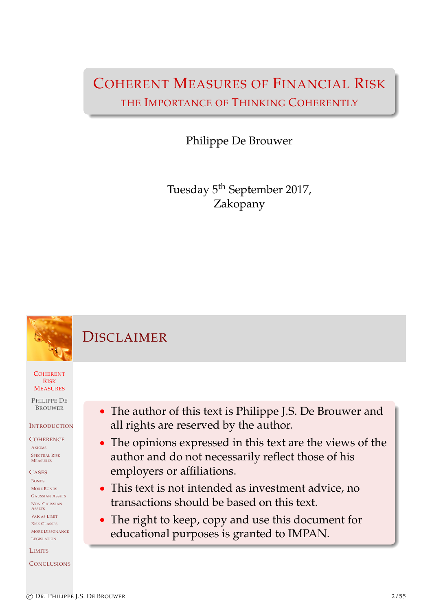# COHERENT MEASURES OF FINANCIAL RISK THE IMPORTANCE OF THINKING COHERENTLY

Philippe De Brouwer

Tuesday 5<sup>th</sup> September 2017, Zakopany

# DISCLAIMER

**COHERENT** RISK **MEASURES** 

PHILIPPE DE BROUWER

### **INTRODUCTION**

**COHERENCE** AXIOMS

SPECTRAL RISK MEASURES

**CASES** BONDS [M](#page-1-0)ORE BONDS [G](#page-5-0)AUSSIAN ASSETS [N](#page-5-0)ON-GAUSSIAN **[A](#page-6-0)SSETS** [V](#page-8-0)AR AS LIMIT [R](#page-9-0)ISK CLASSES [M](#page-11-0)ORE DISSONANCE [L](#page-12-0)EGISLATION

[L](#page-15-0)IMITS

#### <span id="page-0-0"></span>**[C](#page-18-0)ONCLUSIONS**

- The author of this text is Philippe J.S. De Brouwer and all rights are reserved by the author.
- The opinions expressed in this text are the views of the author and do not necessarily reflect those of his employers or affiliations.
- This text is not intended as investment advice, no transactions should be based on this text.
- The right to keep, copy and use this document for educational purposes is granted to IMPAN.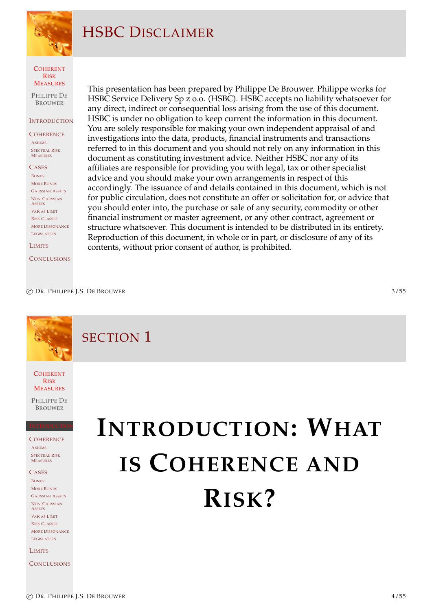

# HSBC DISCLAIMER

COHERENT RISK **MEASURES** 

PHILIPPE DE **BROUWER** 

#### **INTRODUCTION**

**COHERENCE** AXIOMS SPECTRAL RISK MEASURES

**CASES** BONDS MORE BONDS GAUSSIAN ASSETS NON-GAUSSIAN **ASSETS** VAR AS LIMIT RISK CLASSES MORE DISSONANCE LEGISLATION

**LIMITS** 

**CONCLUSIONS** 

This presentation has been prepared by Philippe De Brouwer. Philippe works for HSBC Service Delivery Sp z o.o. (HSBC). HSBC accepts no liability whatsoever for any direct, indirect or consequential loss arising from the use of this document. HSBC is under no obligation to keep current the information in this document. You are solely responsible for making your own independent appraisal of and investigations into the data, products, financial instruments and transactions referred to in this document and you should not rely on any information in this document as constituting investment advice. Neither HSBC nor any of its affiliates are responsible for providing you with legal, tax or other specialist advice and you should make your own arrangements in respect of this accordingly. The issuance of and details contained in this document, which is not for public circulation, does not constitute an offer or solicitation for, or advice that you should enter into, the purchase or sale of any security, commodity or other financial instrument or master agreement, or any other contract, agreement or structure whatsoever. This document is intended to be distributed in its entirety. Reproduction of this document, in whole or in part, or disclosure of any of its contents, without prior consent of author, is prohibited.

c DR. PHILIPPE J.S. DE BROUWER 3/55

SECTION 1

**COHERENT** RISK **MEASURES** 

PHILIPPE DE BROUWER

INTRODUCTION

**COHERENCE** AXIOMS SPECTRAL RISK MEASURES

CASES BONDS [M](#page-1-0)ORE BONDS [G](#page-5-0)AUSSIAN ASSETS [N](#page-5-0)ON-GAUSSIAN **[A](#page-6-0)SSETS** [V](#page-8-0)AR AS LIMIT [R](#page-9-0)ISK CLASSES **[M](#page-11-0)ORE DISSONANCE** [L](#page-12-0)EGI[SLATION](#page-1-0)

[L](#page-15-0)IMITS

<span id="page-1-0"></span>**[C](#page-18-0)ONCLUSIONS** 

# **INTRODUCTION: WHAT IS COHERENCE AND [R](#page-1-0)[ISK](#page-1-0)?**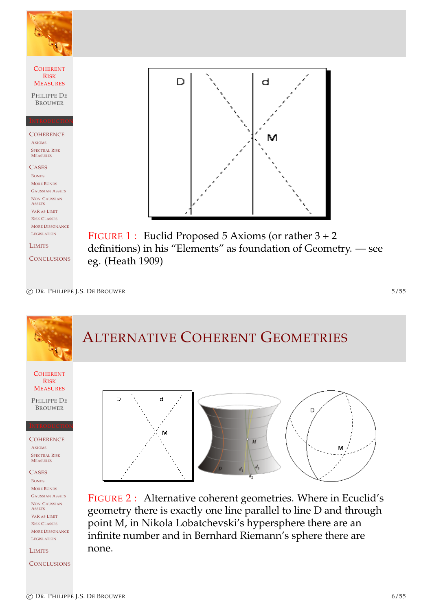

c DR. PHILIPPE J.S. DE BROUWER 5/55

# ALTERNATIVE COHERENT GEOMETRIES

**COHERENT** RISK **MEASURES** 

PHILIPPE DE BROUWER

INTRODUCTION

**COHERENCE** AXIOMS SPECTRAL RISK MEASURES

**CASES** BONDS [M](#page-1-0)ORE BONDS [G](#page-5-0)AUSSIAN ASSETS [N](#page-5-0)ON-GAUSSIAN **[A](#page-6-0)SSETS** [V](#page-8-0)AR AS LIMIT [R](#page-9-0)ISK CLASSES [M](#page-11-0)ORE DISSONANCE [L](#page-12-0)EGISLATION

[L](#page-15-0)IMITS

**[C](#page-18-0)ONCLUSIONS** 



FIGURE 2 : Alternative coherent geometries. Where in Ecuclid's geometry there is exactly one line parallel to line D and through point M, in Nikola Lobatchevski's hypersphere there are an infinite number and in Bernhard Riemann's sphere there are none.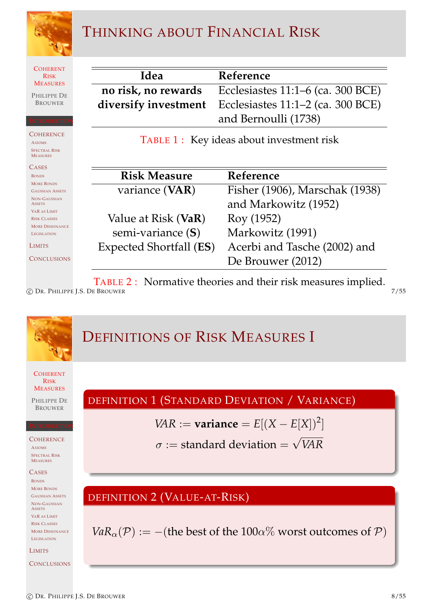

# THINKING ABOUT FINANCIAL RISK

**COHERENT** RISK MEASURES

PHILIPPE DE BROUWER

INTRODUCTION

**COHERENCE** AXIOMS SPECTRAL RISK MEASURES

**CASES** BONDS MORE BONDS GAUSSIAN ASSETS NON-GAUSSIAN **ASSETS** VAR AS LIMIT RISK CLASSES MORE DISSONANCE LEGISLATION

LIMITS

**CONCLUSIONS** 

| Idea | Reference                                                     |
|------|---------------------------------------------------------------|
|      | no risk, no rewards Ecclesiastes 11:1–6 (ca. 300 BCE)         |
|      | <b>diversify investment</b> Ecclesiastes 11:1–2 (ca. 300 BCE) |
|      | and Bernoulli (1738)                                          |

TABLE 1: Key ideas about investment risk

| <b>Risk Measure</b>              | Reference                      |
|----------------------------------|--------------------------------|
| variance (VAR)                   | Fisher (1906), Marschak (1938) |
|                                  | and Markowitz (1952)           |
| Value at Risk (VaR)              | Roy (1952)                     |
| semi-variance (S)                | Markowitz (1991)               |
| Expected Shortfall ( <b>ES</b> ) | Acerbi and Tasche (2002) and   |
|                                  | De Brouwer (2012)              |

TABLE 2 : Normative theories and their risk measures implied.

C DR. PHILIPPE J.S. DE BROUWER 7/55

 $\equiv$ 

**COHERENT** RISK **MEASURES** PHILIPPE DE BROUWER INTRODUCTION **COHERENCE** AXIOMS SPECTRAL RISK MEASURES **CASES** BONDS [M](#page-1-0)ORE BONDS [G](#page-5-0)AUSSIAN ASSETS [N](#page-5-0)ON-GAUSSIAN **[A](#page-6-0)SSETS** [V](#page-8-0)AR AS LIMIT [R](#page-9-0)ISK CLASSES **[M](#page-11-0)ORE DISSONANCE** [L](#page-12-0)EGISLATION **[L](#page-15-0)IMITS [C](#page-18-0)ONCLUSIONS** DEFINITIONS OF RISK MEASURES I DEFINITION 1 (STANDARD DEVIATION / VARIANCE) *VAR* := **variance** =  $E[(X - E[X])^2]$  $\sigma :=$  standard deviation  $=$ √ *VAR* DEFINITION [2](#page-24-0) [\(V](#page-24-0)ALUE-AT-RISK) *VaR*<sub> $\alpha$ </sub>( $\mathcal{P}$ ) := −([the](#page-24-1) [best of the 1](#page-25-0)00 $\alpha$ % worst outcomes of  $\mathcal{P}$ )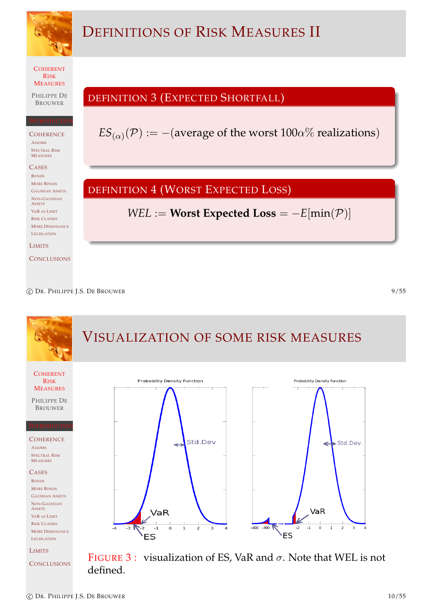

c DR. PHILIPPE J.S. DE BROUWER 9/55

#### VISUALIZATION OF SOME RISK MEASURES **COHERENT Probability Density Function Probability Density Function** RISK **MEASURES** PHILIPPE DE BROUWER INTRODUCTION **COHERENCE** Std.Dev Std.Dev. ๔ AXIOMS SPECTRAL RISK MEASURES **CASES** BONDS [M](#page-1-0)ORE BONDS [G](#page-5-0)AUSSIAN ASSETS [N](#page-5-0)ON-GAUSSIAN **[A](#page-6-0)SSETS** VaR  $VaR$ [V](#page-8-0)AR AS LIMIT [R](#page-9-0)ISK CLASSES  $-400 - 300$  $-3$  $-1$  $\circ$  $\overline{2}$  $-2$  $-1$  $\overline{0}$  $\overline{1}$  $\overline{2}$  $-4$  $\mathbf{I}$ [M](#page-11-0)ORE DISSONANCE ES **ES** [L](#page-12-0)EGISLATION [L](#page-15-0)IMITS FIGURE 3 : visualization of ES, VaR and  $\sigma$ . Note that WEL is not **[C](#page-18-0)ONCLUSIONS** defined.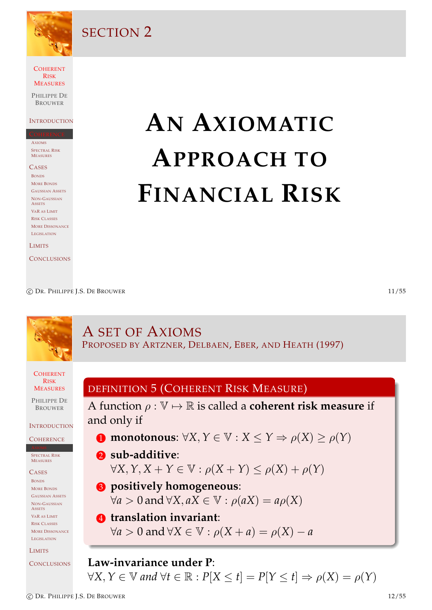

SECTION 2

COHERENT RISK **MEASURES** 

PHILIPPE DE **BROUWER** 

#### **INTRODUCTION**

AXIOMS SPECTRAL RISK MEASURES

**CASES** BONDS MORE BONDS GAUSSIAN ASSETS NON-GAUSSIAN **ASSETS** VAR AS LIMIT RISK CLASSES MORE DISSONANCE LEGISLATION

LIMITS

**CONCLUSIONS** 

# **AN AXIOMATIC APPROACH TO FINANCIAL RISK**

c DR. PHILIPPE J.S. DE BROUWER 11/55

#### **COHERENT** RISK **MEASURES** PHILIPPE DE BROUWER **INTRODUCTION COHERENCE** PECTRAL RISK **MEASURES CASES** BONDS [M](#page-1-0)ORE BONDS [G](#page-5-0)AUSSIAN ASSETS [N](#page-5-0)ON-GAUSSIAN **[A](#page-6-0)SSETS** [V](#page-8-0)AR AS LIMIT [R](#page-9-0)ISK CLASSES **[M](#page-11-0)ORE DISSONANCE** [L](#page-12-0)EGISLATION [L](#page-15-0)IMITS **[C](#page-18-0)ONCLUSIONS** A SET OF AXIOMS PROPOSED BY ARTZNER, DELBAEN, EBER, AND HEATH (1997) DEFINITION 5 (COHERENT RISK MEASURE) A function  $\rho : \mathbb{V} \mapsto \mathbb{R}$  is called a **coherent risk measure** if and only if **1** [monotonous](#page-24-2):  $\forall X, Y \in \mathbb{V}: X \leq Y \Rightarrow \rho(X) \geq \rho(Y)$ 2 **sub-additive**:  $\forall X, Y, X + Y \in \mathbb{V}: \rho(X + Y) \leq \rho(X) + \rho(Y)$ 3 **[positively homogeneous](#page-5-0)**:  $\forall a > 0$  and  $\forall X, aX \in \mathbb{V} : \rho(aX) = a\rho(X)$ 4 **[translation invariant](#page-5-0)**:  $\forall a > 0$  and  $\forall X \in \mathbb{V}: \rho(X + a) = \rho(X) - a$ **Law-invariance under P**:

<span id="page-5-0"></span> $\forall X, Y \in \mathbb{V}$  and  $\forall t \in \mathbb{R} : P[X \leq t] = P[Y \leq t] \Rightarrow \rho(X) = \rho(Y)$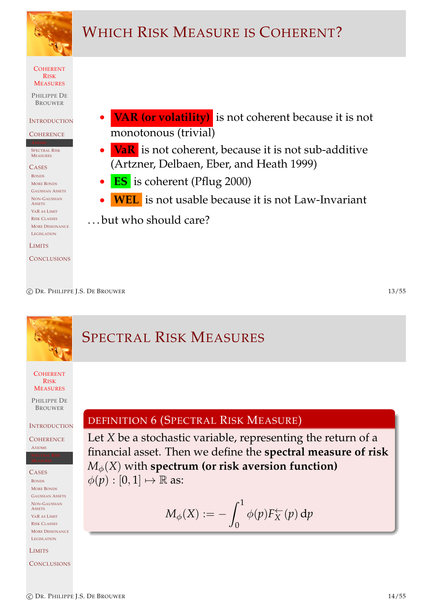

# WHICH RISK MEASURE IS COHERENT?

COHERENT RISK **MEASURES** 

PHILIPPE DE **BROUWER** 

#### **INTRODUCTION**

**COHERENCE** 

SPECTRAL RISK MEASURES

**CASES** BONDS MORE BONDS GAUSSIAN ASSETS NON-GAUSSIAN **ASSETS** VAR AS LIMIT RISK CLASSES MORE DISSONANCE LEGISLATION

LIMITS

**CONCLUSIONS** 

- **VAR (or volatility)** is not coherent because it is not monotonous (trivial)
- **VaR** is not coherent, because it is not sub-additive (Artzner, Delbaen, Eber, and Heath 1999)
- **ES** is coherent (Pflug 2000)
	- **WEL** is not usable because it is not Law-Invariant
- . . . but who should care?

c DR. PHILIPPE J.S. DE BROUWER 13/55

#### **COHERENT** RISK **MEASURES** PHILIPPE DE BROUWER **INTRODUCTION COHERENCE** AXIOMS CASES BONDS [M](#page-1-0)ORE BONDS [G](#page-5-0)AUSSIAN ASSETS [N](#page-5-0)ON-GAUSSIAN **[A](#page-6-0)SSETS** [V](#page-8-0)AR AS LIMIT [R](#page-9-0)ISK CLASSES **[M](#page-11-0)ORE DISSONANCE** [L](#page-12-0)EGISLATION [L](#page-15-0)IMITS SPECTRAL RISK MEASURES DEFINITION 6 (SPECTRAL RISK MEASURE) Let *X* be a stochastic variable, representing the return of a financial asset. Then we define the **spectral measure of risk**  $M_{\phi}(X)$  with **spectrum** (or risk aversion function)  $\phi(p): [0,1] \mapsto \mathbb{R}$  as:  $M_\phi(X) := M_\phi(X) := \int_0^1$  $\theta$  $\phi(p) F_X^{\leftarrow}(p)$  dp

<span id="page-6-0"></span>**[C](#page-18-0)ONCLUSIONS**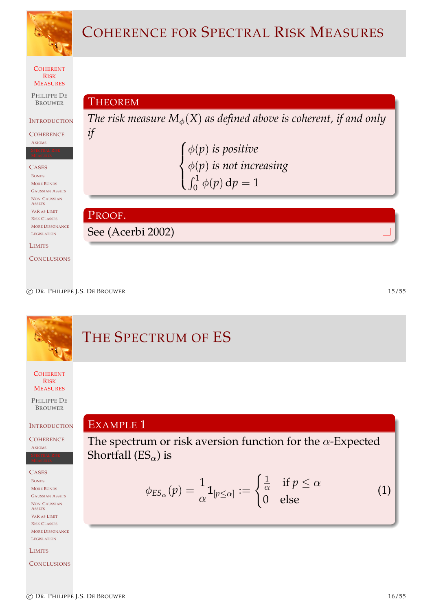

c DR. PHILIPPE J.S. DE BROUWER 15/55

# THE SPECTRUM OF ES

**COHERENT** RISK **MEASURES** 

PHILIPPE DE BROUWER

**INTRODUCTION** 

**COHERENCE** AXIOMS

CASES

BONDS [M](#page-1-0)ORE BONDS [G](#page-5-0)AUSSIAN ASSETS [N](#page-5-0)ON-GAUSSIAN **[A](#page-6-0)SSETS** [V](#page-8-0)AR AS LIMIT [R](#page-9-0)ISK CLASSES [M](#page-11-0)ORE DISSONANCE [L](#page-12-0)EGISLATION

[L](#page-15-0)IMITS

**[C](#page-18-0)ONCLUS[IONS](#page-24-4)** 

EXAMPLE 1 The spectrum or risk aversion function for the  $\alpha$ -Expected Shortfall ( $ES_{\alpha}$ ) is

$$
\phi_{ES_{\alpha}}(p) = \frac{1}{\alpha} \mathbf{1}_{[p \le \alpha]} := \begin{cases} \frac{1}{\alpha} & \text{if } p \le \alpha \\ 0 & \text{else} \end{cases}
$$
 (1)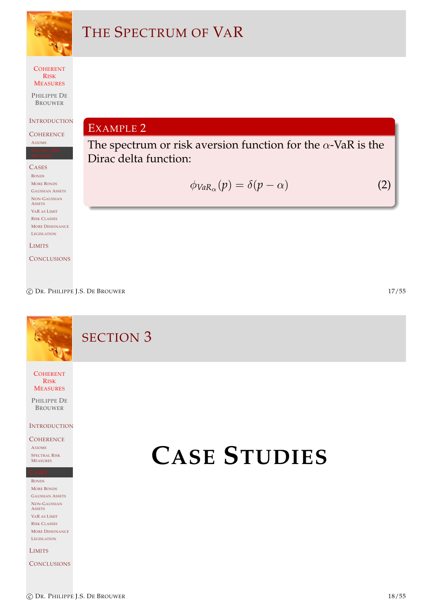

# THE SPECTRUM OF VAR

**COHERENT** RISK MEASURES

PHILIPPE DE BROUWER

**INTRODUCTION** 

**COHERENCE** AXIOMS

**CASES** BONDS MORE BONDS GAUSSIAN ASSETS NON-GAUSSIAN **ASSETS** VAR AS LIMIT RISK CLASSES MORE DISSONANCE LEGISLATION

LIMITS

**CONCLUSIONS** 

EXAMPLE 2

The spectrum or risk aversion function for the  $\alpha$ -VaR is the Dirac delta function:

$$
\phi_{VaR_{\alpha}}(p) = \delta(p - \alpha) \tag{2}
$$

c DR. PHILIPPE J.S. DE BROUWER 17/55

SECTION 3

COHERENT RISK **MEASURES** 

PHILIPPE DE BROUWER

**INTRODUCTION** 

### **COHERENCE**

AXIOMS SPECTRAL RISK MEASURES

BONDS [M](#page-1-0)ORE BONDS [G](#page-5-0)AUSSIAN ASSETS [N](#page-5-0)ON-GAUSSIAN **[A](#page-6-0)SSETS** [V](#page-8-0)AR AS LIMIT

[R](#page-9-0)ISK CLASSES [M](#page-11-0)ORE DISSONANCE [L](#page-12-0)EGISLATION

[L](#page-15-0)IMITS

**[C](#page-18-0)ONCLUSIONS** 

# <span id="page-8-0"></span>**CASE STUDIES**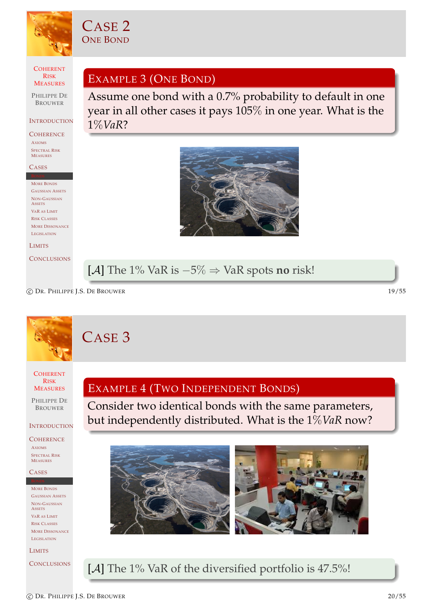

CASE 2 ONE BOND

**COHERENT** RISK MEASURES

PHILIPPE DE BROUWER

#### INTRODUCTION

**COHERENCE** AXIOMS SPECTRAL RISK MEASURES

#### **CASES**

MORE BONDS GAUSSIAN ASSETS NON-GAUSSIAN **ASSETS** VAR AS LIMIT RISK CLASSES MORE DISSONANCE LEGISLATION

#### LIMITS

**CONCLUSIONS** 

EXAMPLE 3 (ONE BOND)

Assume one bond with a 0.7% probability to default in one year in all other cases it pays 105% in one year. What is the 1%*VaR*?



[A] The 1% VaR is −5% ⇒ VaR spots **no** risk!

c DR. PHILIPPE J.S. DE BROUWER 19/55

# CASE 3

**COHERENT** RISK **MEASURES** 

PHILIPPE DE BROUWER

### **INTRODUCTION**

**COHERENCE** AXIOMS

SPECTRAL RISK MEASURES

#### CASES

[M](#page-1-0)ORE BONDS [G](#page-5-0)AUSSIAN ASSETS [N](#page-5-0)ON-GAUSSIAN **[A](#page-6-0)SSETS** [V](#page-8-0)AR AS LIMIT [R](#page-9-0)ISK CLASSES [M](#page-11-0)ORE DISSONANCE [L](#page-12-0)EGISLATION

[L](#page-15-0)IMITS

**[C](#page-18-0)ONCLUSIONS** 

## EXAMPLE 4 (TWO INDEPENDENT BONDS)

Consider two identical bonds with the same parameters, but independently distributed. What is the 1%*VaR* now?



<span id="page-9-0"></span>[A] The 1% VaR of the diversified portfolio is 47.5%!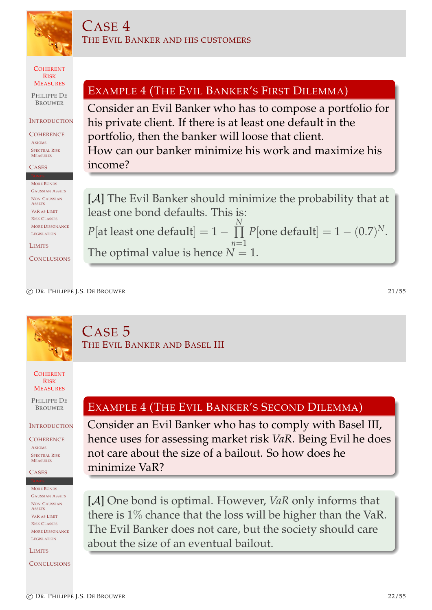

COHERENT RISK **MEASURES** 

PHILIPPE DE **BROUWER** 

#### **INTRODUCTION**

**COHERENCE** AXIOMS SPECTRAL RISK MEASURES

#### **CASES**

MORE BONDS GAUSSIAN ASSETS NON-GAUSSIAN **ASSETS** VAR AS LIMIT RISK CLASSES MORE DISSONANCE LEGISLATION

LIMITS

**CONCLUSIONS** 

# EXAMPLE 4 (THE EVIL BANKER'S FIRST DILEMMA)

Consider an Evil Banker who has to compose a portfolio for his private client. If there is at least one default in the portfolio, then the banker will loose that client. How can our banker minimize his work and maximize his income?

[A] The Evil Banker should minimize the probability that at least one bond defaults. This is:  $P[\text{at least one default}] = 1 - \prod$ *N*  $n=1$  $P[\text{one default}] = 1 - (0.7)^N.$ The optimal value is hence  $N = 1$ .

c DR. PHILIPPE J.S. DE BROUWER 21/55

# CASE 5 THE EVIL BANKER AND BASEL III

**COHERENT** RISK **MEASURES** 

PHILIPPE DE BROUWER

**INTRODUCTION** 

**COHERENCE** AXIOMS SPECTRAL RISK MEASURES

CASES

[M](#page-1-0)ORE BONDS [G](#page-5-0)AUSSIAN ASSETS [N](#page-5-0)ON-GAUSSIAN **[A](#page-6-0)SSETS** [V](#page-8-0)AR AS LIMIT [R](#page-9-0)ISK CLASSES **[M](#page-11-0)ORE DISSONANCE** [L](#page-12-0)EGISLATION

[L](#page-15-0)IMITS

**[C](#page-18-0)ONCLUSIONS** 

## EXAMPLE 4 (THE EVIL BANKER'S SECOND DILEMMA)

Consider an Evil Banker who has to comply with Basel III, hence uses for assessing market risk *VaR*. Being Evil he does not care about the size of a bailout. So how does he minimize VaR?

[A] One bond is optimal. However, *VaR* only informs that there is 1% chance that the loss will be higher than the VaR. The Evil Banker does not care, but the society should care about the size of an eventual bailout.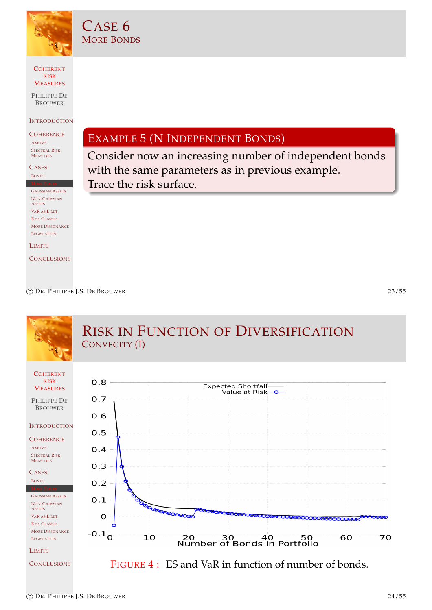

CASE 6 MORE BONDS

COHERENT RISK MEASURES

PHILIPPE DE **BROUWER** 

**INTRODUCTION** 

**COHERENCE** AXIOMS SPECTRAL RISK MEASURES

**CASES** BONDS

GAUSSIAN ASSETS NON-GAUSSIAN **ASSETS** VAR AS LIMIT RISK CLASSES MORE DISSONANCE LEGISLATION

LIMITS

**CONCLUSIONS** 

EXAMPLE 5 (N INDEPENDENT BONDS)

Consider now an increasing number of independent bonds with the same parameters as in previous example. Trace the risk surface.

c DR. PHILIPPE J.S. DE BROUWER 23/55

<span id="page-11-0"></span>

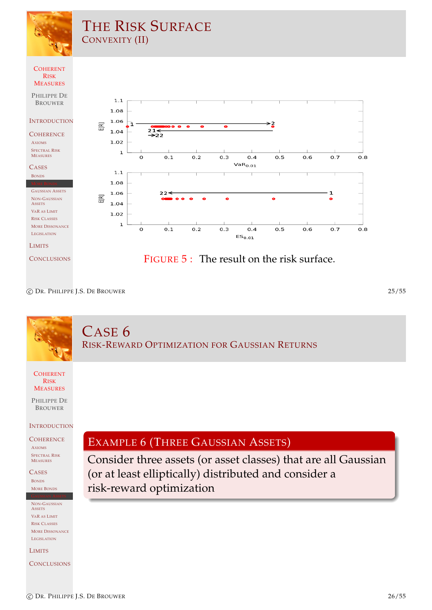

c DR. PHILIPPE J.S. DE BROUWER 25/55

# CASE 6 RISK-REWARD OPTIMIZATION FOR GAUSSIAN RETURNS

**COHERENT** RISK **MEASURES** 

PHILIPPE DE BROUWER

### **INTRODUCTION**

**COHERENCE** AXIOMS SPECTRAL RISK MEASURES

CASES BONDS [M](#page-1-0)ORE BONDS

[N](#page-5-0)ON-GAUSSIAN **[A](#page-6-0)SSETS** [V](#page-8-0)AR AS LIMIT [R](#page-9-0)ISK CLASSES [M](#page-11-0)ORE DISSONANCE [L](#page-12-0)EGISLATION

[L](#page-15-0)IMITS

**[C](#page-18-0)ONCLUSIONS** 

# EXAMPLE 6 (THREE GAUSSIAN ASSETS)

<span id="page-12-0"></span>Consider three assets (or asset classes) that are all Gaussian (or at least elliptically) distributed and consider a risk-reward optimization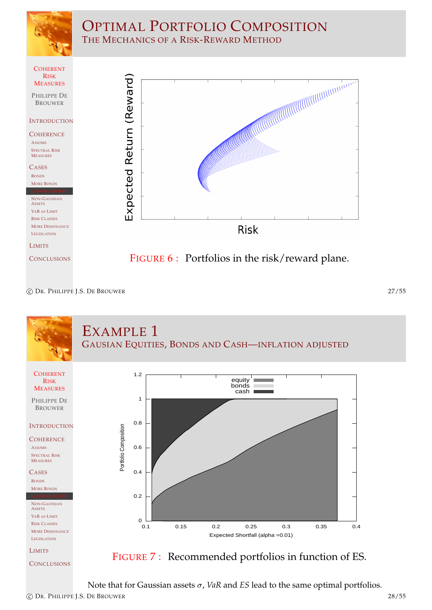

# OPTIMAL PORTFOLIO COMPOSITION THE MECHANICS OF A RISK-REWARD METHOD



c DR. PHILIPPE J.S. DE BROUWER 27/55



**[C](#page-18-0)ONCLUSIONS** 



Note that for Gaussian assets σ, *VaR* and *ES* lead to the same optimal portfolios.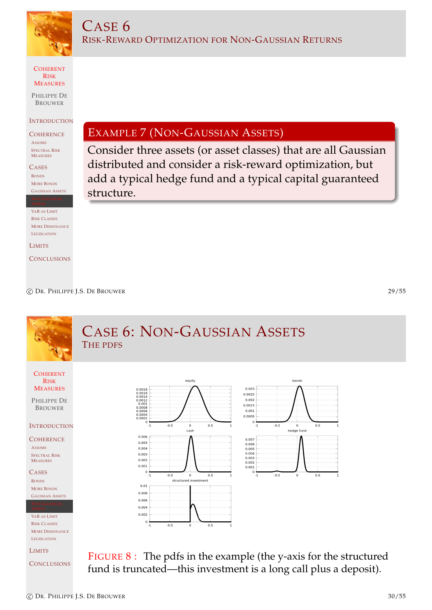

CASE 6

COHERENT RISK MEASURES

PHILIPPE DE BROUWER

#### **INTRODUCTION**

**COHERENCE** AXIOMS SPECTRAL RISK MEASURES

**CASES** BONDS MORE BONDS GAUSSIAN ASSETS

VAR AS LIMIT RISK CLASSES MORE DISSONANCE LEGISLATION

LIMITS

**CONCLUSIONS** 

# EXAMPLE 7 (NON-GAUSSIAN ASSETS)

RISK-REWARD OPTIMIZATION FOR NON-GAUSSIAN RETURNS

Consider three assets (or asset classes) that are all Gaussian distributed and consider a risk-reward optimization, but add a typical hedge fund and a typical capital guaranteed structure.

c DR. PHILIPPE J.S. DE BROUWER 29/55

bonds

# CASE 6: NON-GAUSSIAN ASSETS THE PDFS

**COHERENT** RISK **MEASURES** 

PHILIPPE DE BROUWER

### **INTRODUCTION**

**COHERENCE** AXIOMS SPECTRAL RISK MEASURES

**CASES** BONDS [M](#page-1-0)ORE BONDS [G](#page-5-0)AUSSIAN ASSETS

[V](#page-8-0)AR AS LIMIT [R](#page-9-0)ISK CLASSES **[M](#page-11-0)ORE DISSONANCE** [L](#page-12-0)EGISLATION

[L](#page-15-0)IMITS

**[C](#page-18-0)ONCLUSIONS** 



<span id="page-14-1"></span><span id="page-14-0"></span>FIGURE 8 : The pdfs in the example (the y-axis for the structured fund is truncated—this investment is a long call plus a deposit).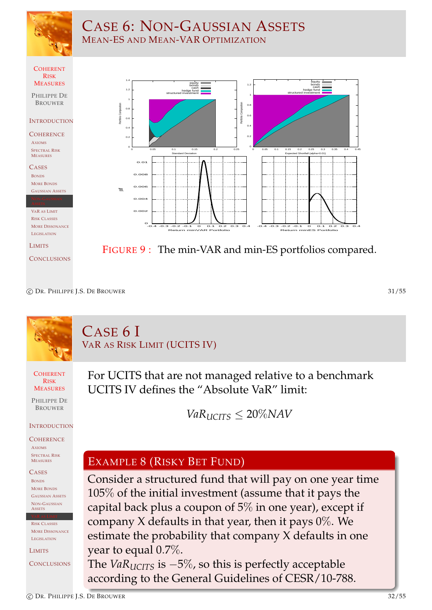

# CASE 6: NON-GAUSSIAN ASSETS MEAN-ES AND MEAN-VAR OPTIMIZATION



c DR. PHILIPPE J.S. DE BROUWER 31/55

# CASE 6 I VAR AS RISK LIMIT (UCITS IV)

**COHERENT** RISK **MEASURES** 

PHILIPPE DE BROUWER

### **INTRODUCTION**

**COHERENCE** AXIOMS

SPECTRAL RISK MEASURES

CASES BONDS [M](#page-1-0)ORE BONDS [G](#page-5-0)AUSSIAN ASSETS [N](#page-5-0)ON-GAUSSIAN **[A](#page-6-0)SSETS** 

[R](#page-9-0)ISK CLASSES [M](#page-11-0)ORE DISSONANCE [L](#page-12-0)EGISLATION

[L](#page-15-0)IMITS

**[C](#page-18-0)ONCLUSIONS** 

For UCITS that are not managed relative to a benchmark UCITS IV defines the "Absolute VaR" limit:

 $VaR<sub>UCTS</sub> < 20\%$ *NAV* 

# EXAMPLE 8 (RISKY BET FUND)

Consider a structured fund that will pay on one year time 105% of the initial investment (assume that it pays the capital back plus a coupon of 5% in one year), except if company  $X$  defaults in that year, then it pays  $0\%$ . We estimate the probability that company X defaults in one year to equal 0.7%.

<span id="page-15-0"></span>The *VaRUCITS* is −5%, so this is perfectly acceptable according to the General Guidelines of CESR/10-788.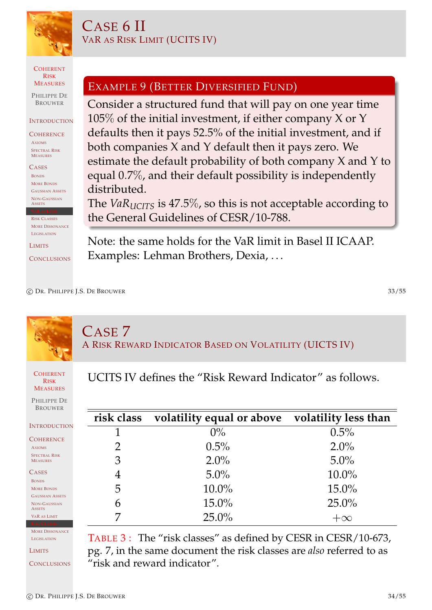

# CASE 6 II VAR AS RISK LIMIT (UCITS IV)

COHERENT RISK **MEASURES** 

PHILIPPE DE **BROUWER** 

#### **INTRODUCTION**

**COHERENCE** AXIOMS SPECTRAL RISK MEASURES

**CASES** BONDS MORE BONDS GAUSSIAN ASSETS NON-GAUSSIAN **ASSETS** 

RISK CLASSES MORE DISSONANCE LEGISLATION

LIMITS

**CONCLUSIONS** 

# EXAMPLE 9 (BETTER DIVERSIFIED FUND)

Consider a structured fund that will pay on one year time  $105\%$  of the initial investment, if either company X or Y defaults then it pays 52.5% of the initial investment, and if both companies X and Y default then it pays zero. We estimate the default probability of both company X and Y to equal 0.7%, and their default possibility is independently distributed.

The *VaRUCITS* is 47.5%, so this is not acceptable according to the General Guidelines of CESR/10-788.

Note: the same holds for the VaR limit in Basel II ICAAP. Examples: Lehman Brothers, Dexia, ...

# CASE 7 A RISK REWARD INDICATOR BASED ON VOLATILITY (UICTS IV)

**COHERENT** RISK **MEASURES** 

PHILIPPE DE BROUWER

INTROD COHERE AXIOMS SPECTRAL MEASURES CASES BONDS **[M](#page-1-0)ORE BON** [G](#page-5-0)AUSSIAN [N](#page-5-0)ON-GAUS **[A](#page-6-0)SSETS** [V](#page-8-0)AR AS LII UCITS IV defines the "Risk Reward Indicator" as follows.

|                | risk class volatility equal or above volatility less than |           |
|----------------|-----------------------------------------------------------|-----------|
|                | $0\%$                                                     | $0.5\%$   |
| $\overline{2}$ | 0.5%                                                      | $2.0\%$   |
| 3              | $2.0\%$                                                   | $5.0\%$   |
| 4              | $5.0\%$                                                   | $10.0\%$  |
| 5              | $10.0\%$                                                  | $15.0\%$  |
| 6              | $15.0\%$                                                  | $25.0\%$  |
|                | $25.0\%$                                                  | $+\infty$ |

**[M](#page-11-0)ORE DISSONANCE** [L](#page-12-0)EGISLATION

[L](#page-15-0)IMITS

**[C](#page-18-0)ONCLUSIONS** 

<span id="page-16-0"></span>TABLE 3 : The "risk classes" as defined by CESR in CESR/10-673, pg. 7, in the same document the risk classes are *also* referred to as "risk and reward indicator".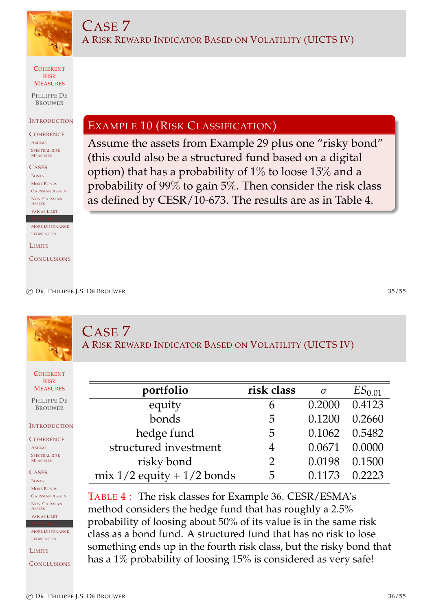

CASE 7

COHERENT RISK **MEASURES** 

PHILIPPE DE **BROUWER** 

#### **INTRODUCTION**

**COHERENCE** AXIOMS SPECTRAL RISK MEASURES

**CASES** BONDS MORE BONDS GAUSSIAN ASSETS NON-GAUSSIAN **ASSETS** VAR AS LIMIT

**MORE DISSONANCE** LEGISLATION

**LIMITS** 

**CONCLUSIONS** 

# EXAMPLE 10 (RISK CLASSIFICATION)

Assume the assets from Example 29 plus one "risky bond" (this could also be a structured fund based on a digital option) that has a probability of 1% to loose 15% and a probability of 99% to gain 5%. Then consider the risk class as defined by CESR/10-673. The results are as in Table 4.

A RISK REWARD INDICATOR BASED ON VOLATILITY (UICTS IV)

c DR. PHILIPPE J.S. DE BROUWER 35/55

CASE 7 A RISK REWARD INDICATOR BASED ON VOLATILITY (UICTS IV)

**COHERENT** RISK **MEASURES** 

PHILIPPE DE BROUWER

### **INTRODUCTION**

**COHERENCE** AXIOMS SPECTRAL RISK MEASURES

CASES BONDS [M](#page-1-0)ORE BONDS [G](#page-5-0)AUSSIAN ASSETS [N](#page-5-0)ON-GAUSSIAN **[A](#page-6-0)SSETS** [V](#page-8-0)AR AS LIMIT

**[M](#page-11-0)ORE DISSONANCE** 

[L](#page-12-0)EGISLATION

[L](#page-15-0)IMITS

<span id="page-17-1"></span><span id="page-17-0"></span>**[C](#page-18-0)ONCLUSIONS** 

| portfolio                      | risk class    |                   | $ES_{0.01}$ |
|--------------------------------|---------------|-------------------|-------------|
| equity                         |               | 0.2000            | 0.4123      |
| bonds                          | 5             | $0.1200$ $0.2660$ |             |
| hedge fund                     | 5             | 0.1062 0.5482     |             |
| structured investment          |               | 0.0671 0.0000     |             |
| risky bond                     | $\mathcal{P}$ | 0.0198 0.1500     |             |
| mix $1/2$ equity + $1/2$ bonds | C,            | 0.1173            | 0.2223      |

TABLE 4 : The risk classes for Example 36. CESR/ESMA's method consid[ers](#page-14-1) the hedge fund that has roughly a 2.5% probability of loosing about 50% of its value is in the same risk class as a bond fu[nd](#page-17-1). A structured fund that has no risk to lose something ends up in the fourt[h r](#page-17-0)isk class, but the risky bond that has a 1% probability of loosing 15% is considered as very safe!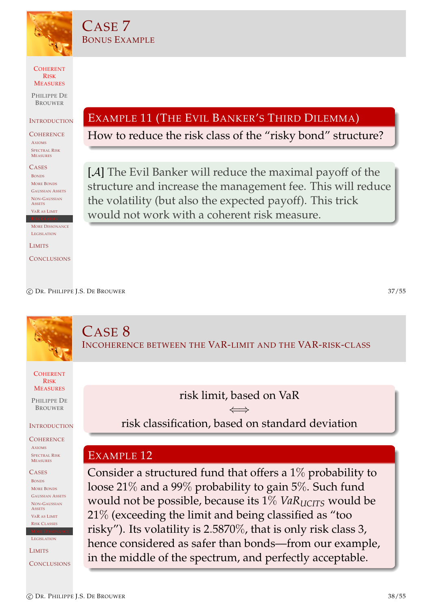

CASE 7

BONUS EXAMPLE

COHERENT RISK MEASURES

PHILIPPE DE **BROUWER** 

**INTRODUCTION** 

**COHERENCE** AXIOMS SPECTRAL RISK MEASURES

**CASES** BONDS MORE BONDS GAUSSIAN ASSETS NON-GAUSSIAN **ASSETS** VAR AS LIMIT

**MORE DISSONANCE** LEGISLATION

**LIMITS** 

**CONCLUSIONS** 

EXAMPLE 11 (THE EVIL BANKER'S THIRD DILEMMA)

How to reduce the risk class of the "risky bond" structure?

[A] The Evil Banker will reduce the maximal payoff of the structure and increase the management fee. This will reduce the volatility (but also the expected payoff). This trick would not work with a coherent risk measure.

c DR. PHILIPPE J.S. DE BROUWER 37/55

CASE 8 INCOHERENCE BETWEEN THE VAR-LIMIT AND THE VAR-RISK-CLASS

**COHERENT** RISK **MEASURES** 

PHILIPPE DE BROUWER

**INTRODUCTION** 

**COHERENCE** AXIOMS SPECTRAL RISK MEASURES

CASES BONDS [M](#page-1-0)ORE BONDS [G](#page-5-0)AUSSIAN ASSETS [N](#page-5-0)ON-GAUSSIAN **[A](#page-6-0)SSETS** [V](#page-8-0)AR AS LIMIT [R](#page-9-0)ISK CLASSES

[L](#page-12-0)EGISLATION [L](#page-15-0)IMITS

**[C](#page-18-0)ONCLUSIONS** 

risk limit, based on VaR ⇐⇒ risk classification, based on standard deviation

# EXAMPLE 12

<span id="page-18-0"></span>Consider a structured fund that offers a 1% probability to loose 21% and a 99% probability to gain 5%. Such fund would not be possible, because its 1% *VaR*<sub>*UCITS*</sub> would be 21% (exceeding the limit and being classified as "too risky"). Its volatility is 2.5870%, that is only risk class 3, hence considered as safer than bonds—from our example, in the middle of the spectrum, and perfectly acceptable.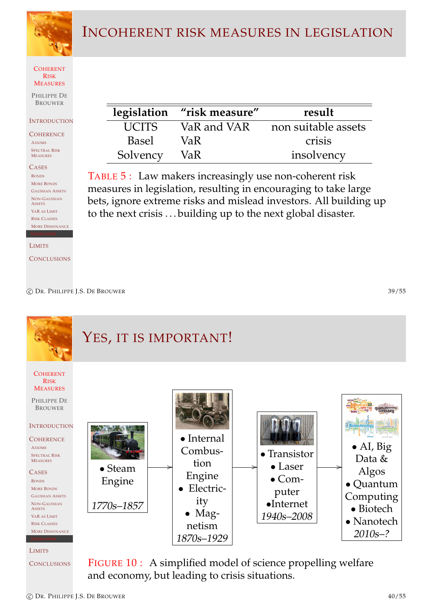

# INCOHERENT RISK MEASURES IN LEGISLATION

#### COHERENT RISK **MEASURES**

PHILIPPE DE **BROUWER** 

#### **INTRODUCTION**

**COHERENCE** AXIOMS SPECTRAL RISK MEASURES

**CASES** BONDS MORE BONDS GAUSSIAN ASSETS NON-GAUSSIAN **ASSETS** VAR AS LIMIT RISK CLASSES MORE DISSONANCE

LIMITS

**CONCLUSIONS** 

|              | legislation "risk measure" | result              |
|--------------|----------------------------|---------------------|
| <b>UCITS</b> | VaR and VAR                | non suitable assets |
| <b>Basel</b> | VaR.                       | crisis              |
| Solvency     | VaR.                       | insolvency          |

TABLE 5 : Law makers increasingly use non-coherent risk measures in legislation, resulting in encouraging to take large bets, ignore extreme risks and mislead investors. All building up to the next crisis . . . building up to the next global disaster.

c DR. PHILIPPE J.S. DE BROUWER 39/55



**[C](#page-18-0)ONCLUSIONS** and economy, but leading to crisis situations.

<span id="page-19-0"></span>c DR. PHILIPPE J.S. DE BROUWER 40/55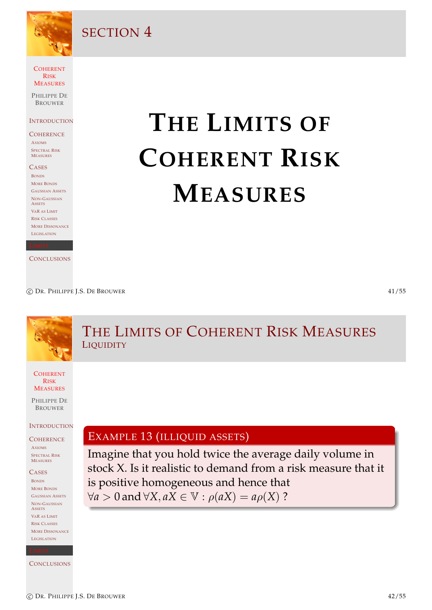

SECTION 4

**COHERENT** RISK **MEASURES** 

PHILIPPE DE **BROUWER** 

**INTRODUCTION** 

#### **COHERENCE** AXIOMS SPECTRAL RISK MEASURES

**CASES** BONDS MORE BONDS GAUSSIAN ASSETS NON-GAUSSIAN **ASSETS** VAR AS LIMIT RISK CLASSES MORE DISSONANCE **LEGISLATION** 

**CONCLUSIONS** 

# **THE LIMITS OF COHERENT RISK MEASURES**

c DR. PHILIPPE J.S. DE BROUWER 41/55

### **COHERENT** RISK **MEASURES** PHILIPPE DE BROUWER **INTRODUCTION COHERENCE** AXIOMS SPECTRAL RISK MEASURES **CASES** BONDS [M](#page-1-0)ORE BONDS [G](#page-5-0)AUSSIAN ASSETS [N](#page-5-0)ON-GAUSSIAN **[A](#page-6-0)SSETS** [V](#page-8-0)AR AS L[IMIT](#page-20-0) [R](#page-9-0)ISK CLASSES [M](#page-11-0)ORE DISSONANCE [L](#page-12-0)EGI[SLATION](#page-20-0) THE LIMITS OF COHERENT RISK MEASURES **LIQUIDITY** EXAMPLE 13 (ILLIQUID ASSETS) Imagine that you hold twice the average daily volume in stock X. Is it realistic to demand from a risk measure that it [is positive homogeneous and hen](#page-20-0)ce that  $∀a > 0$  and  $∀X, aX ∈ ∇·ρ(aX) = aρ(X)$  ?

**[C](#page-18-0)ONCLUSIONS** 

<span id="page-20-0"></span>c DR. PHILIPPE J.S. DE BROUWER 42/55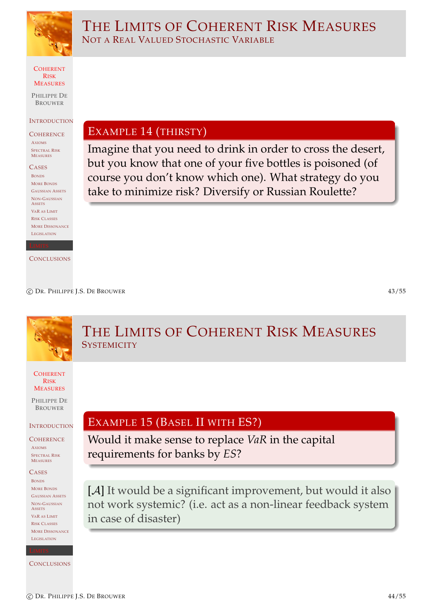

COHERENT RISK **MEASURES** 

PHILIPPE DE **BROUWER** 

#### **INTRODUCTION**

**COHERENCE** AXIOMS SPECTRAL RISK MEASURES

**CASES** BONDS MORE BONDS GAUSSIAN ASSETS NON-GAUSSIAN **ASSETS** VAR AS LIMIT RISK CLASSES MORE DISSONANCE LEGISLATION

**CONCLUSIONS** 

EXAMPLE 14 (THIRSTY)

NOT A REAL VALUED STOCHASTIC VARIABLE

Imagine that you need to drink in order to cross the desert, but you know that one of your five bottles is poisoned (of course you don't know which one). What strategy do you take to minimize risk? Diversify or Russian Roulette?

THE LIMITS OF COHERENT RISK MEASURES

c DR. PHILIPPE J.S. DE BROUWER 43/55

### **COHERENT** RISK **MEASURES** PHILIPPE DE BROUWER **INTRODUCTION COHERENCE** AXIOMS SPECTRAL RISK MEASURES **CASES** BONDS [M](#page-1-0)ORE BONDS [G](#page-5-0)AUSSIAN ASSETS [N](#page-5-0)ON-GAUSSIAN **[A](#page-6-0)SSETS** [V](#page-8-0)AR AS LIMIT [R](#page-9-0)ISK CLASSES **[M](#page-11-0)ORE DISSONANCE** [L](#page-12-0)EGISLATION **[C](#page-18-0)ONCLUSIONS** THE LIMITS OF COHERENT RISK MEASURES **SYSTEMICITY** EXAMPLE 15 (BASEL II WITH ES?) Would it make sense to replace *VaR* in the capital requirements for banks by *ES*? [A] It would be a significant improvement, but would it also not work systemic? (i.e. act as a non-linear feedback system in case of disaster)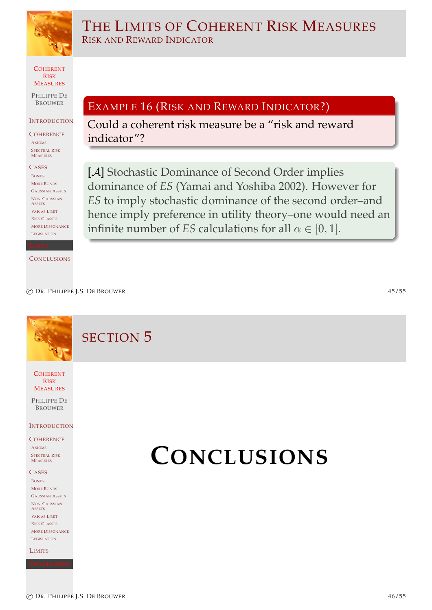

THE LIMITS OF COHERENT RISK MEASURES RISK AND REWARD INDICATOR

COHERENT RISK **MEASURES** 

PHILIPPE DE BROUWER

#### **INTRODUCTION**

**COHERENCE** AXIOMS SPECTRAL RISK MEASURES

**CASES** BONDS MORE BONDS GAUSSIAN ASSETS NON-GAUSSIAN **ASSETS** VAR AS LIMIT RISK CLASSES MORE DISSONANCE **LEGISLATION** 

**CONCLUSIONS** 

EXAMPLE 16 (RISK AND REWARD INDICATOR?)

Could a coherent risk measure be a "risk and reward indicator"?

[A] Stochastic Dominance of Second Order implies dominance of *ES* (Yamai and Yoshiba 2002). However for *ES* to imply stochastic dominance of the second order–and hence imply preference in utility theory–one would need an infinite number of *ES* calculations for all  $\alpha \in [0, 1]$ .

c DR. PHILIPPE J.S. DE BROUWER 45/55

SECTION 5

**COHERENT** RISK **MEASURES** 

PHILIPPE DE BROUWER

#### **INTRODUCTION**

### **COHERENCE**

AXIOMS SPECTRAL RISK MEASURES

#### **CASES**

BONDS [M](#page-1-0)ORE BONDS [G](#page-5-0)AUSSIAN ASSETS [N](#page-5-0)ON-GAUSSIAN **[A](#page-6-0)SSETS** [V](#page-8-0)AR AS LIMIT [R](#page-9-0)ISK CLASSES **[M](#page-11-0)ORE DISSONANCE** [L](#page-12-0)EGISLATION

[L](#page-15-0)IMITS

# **CONCLUSIONS**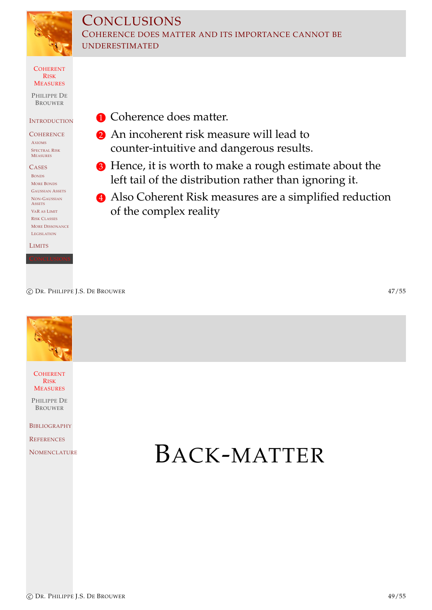

## **CONCLUSIONS** COHERENCE DOES MATTER AND ITS IMPORTANCE CANNOT BE UNDERESTIMATED

**COHERENT** RISK **MEASURES** 

PHILIPPE DE BROUWER

### **INTRODUCTION**

**COHERENCE** AXIOMS SPECTRAL RISK MEASURES

**CASES** BONDS MORE BONDS GAUSSIAN ASSETS NON-GAUSSIAN **ASSETS** VAR AS LIMIT RISK CLASSES MORE DISSONANCE **LEGISLATION** 

LIMITS

**1** Coherence does matter.

- 2 An incoherent risk measure will lead to counter-intuitive and dangerous results.
- <sup>3</sup> Hence, it is worth to make a rough estimate about the left tail of the distribution rather than ignoring it.
- 4 Also Coherent Risk measures are a simplified reduction of the complex reality

c DR. PHILIPPE J.S. DE BROUWER 47/55

**COHERENT** RISK **MEASURES** 

PHILIPPE DE BROUWER

BIBLIOGRAPHY

**REFERENCES** 

[N](#page-0-0)OMENCLATURE **BACK-MATTER**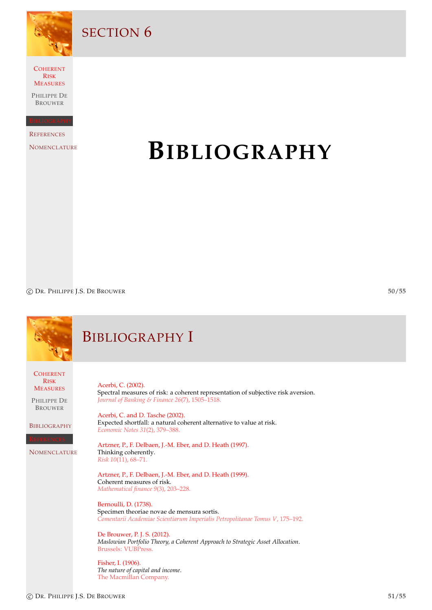

SECTION<sub>6</sub>

**COHERENT** RISK MEASURES

PHILIPPE DE BROUWER

**REFERENCES** 

**NOMENCLATURE** 

# **BIBLIOGRAPHY**

C DR. PHILIPPE J.S. DE BROUWER 50/55

<span id="page-24-5"></span><span id="page-24-4"></span><span id="page-24-3"></span><span id="page-24-2"></span><span id="page-24-1"></span><span id="page-24-0"></span>

|                                                                                                                                  | <b>BIBLIOGRAPHY I</b>                                                                                                                                                                                                                                                                                                                                                                                                                                                                                                                                                                                                                                                                                                                                                                                                                                                                                                                      |
|----------------------------------------------------------------------------------------------------------------------------------|--------------------------------------------------------------------------------------------------------------------------------------------------------------------------------------------------------------------------------------------------------------------------------------------------------------------------------------------------------------------------------------------------------------------------------------------------------------------------------------------------------------------------------------------------------------------------------------------------------------------------------------------------------------------------------------------------------------------------------------------------------------------------------------------------------------------------------------------------------------------------------------------------------------------------------------------|
| <b>COHERENT</b><br><b>RISK</b><br><b>MEASURES</b><br>PHILIPPE DE<br><b>BROUWER</b><br><b>BIBLIOGRAPHY</b><br><b>NOMENCLATURE</b> | Acerbi, C. (2002).<br>Spectral measures of risk: a coherent representation of subjective risk aversion.<br>Journal of Banking & Finance 26(7), 1505-1518.<br>Acerbi, C. and D. Tasche (2002).<br>Expected shortfall: a natural coherent alternative to value at risk.<br>Economic Notes 31(2), 379-388.<br>Artzner, P., F. Delbaen, J.-M. Eber, and D. Heath (1997).<br>Thinking coherently.<br>Risk 10(11), 68-71.<br>Artzner, P., F. Delbaen, J.-M. Eber, and D. Heath (1999).<br>Coherent measures of risk.<br>Mathematical finance 9(3), 203-228.<br>Bernoulli, D. (1738).<br>Specimen theoriae novae de mensura sortis.<br>Comentarii Academiae Scientiarum Imperialis Petropolitanae Tomus V, 175-192.<br>De Brouwer, P. J. S. (2012).<br>Maslowian Portfolio Theory, a Coherent Approach to Strategic Asset Allocation.<br>Brussels: VUBPress.<br>Fisher, I. (1906).<br>The nature of capital and income.<br>The Macmillan Company. |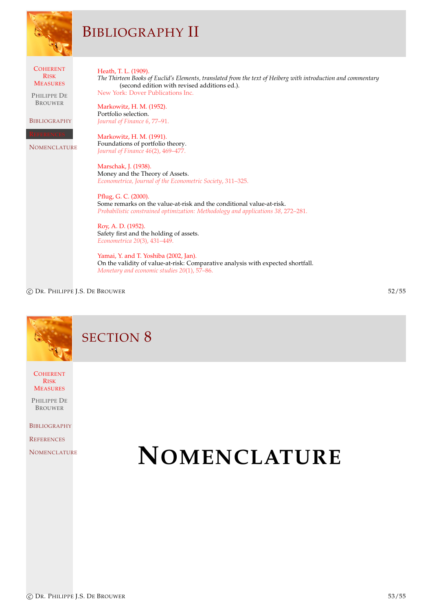|                                                                                                                                  | <b>BIBLIOGRAPHY II</b>                                                                                                                                                                                                                                                                                                                                                                                                                                                                                                                                                                                                                                                                                                                                                                                                                                                                                                                                          |
|----------------------------------------------------------------------------------------------------------------------------------|-----------------------------------------------------------------------------------------------------------------------------------------------------------------------------------------------------------------------------------------------------------------------------------------------------------------------------------------------------------------------------------------------------------------------------------------------------------------------------------------------------------------------------------------------------------------------------------------------------------------------------------------------------------------------------------------------------------------------------------------------------------------------------------------------------------------------------------------------------------------------------------------------------------------------------------------------------------------|
| <b>COHERENT</b><br><b>RISK</b><br><b>MEASURES</b><br>PHILIPPE DE<br><b>BROUWER</b><br><b>BIBLIOGRAPHY</b><br><b>NOMENCLATURE</b> | Heath, T. L. (1909).<br>The Thirteen Books of Euclid's Elements, translated from the text of Heiberg with introduction and commentary<br>(second edition with revised additions ed.).<br>New York: Dover Publications Inc.<br>Markowitz, H. M. (1952).<br>Portfolio selection.<br>Journal of Finance 6, 77-91.<br>Markowitz, H. M. (1991).<br>Foundations of portfolio theory.<br>Journal of Finance 46(2), 469-477.<br>Marschak, J. (1938).<br>Money and the Theory of Assets.<br>Econometrica, Journal of the Econometric Society, 311-325.<br>Pflug, G. C. (2000).<br>Some remarks on the value-at-risk and the conditional value-at-risk.<br>Probabilistic constrained optimization: Methodology and applications 38, 272-281.<br>Roy, A. D. (1952).<br>Safety first and the holding of assets.<br>Econometrica 20(3), 431-449.<br>Yamai, Y. and T. Yoshiba (2002, Jan).<br>On the validity of value-at-risk: Comparative analysis with expected shortfall. |
|                                                                                                                                  | Monetary and economic studies 20(1), 57–86.                                                                                                                                                                                                                                                                                                                                                                                                                                                                                                                                                                                                                                                                                                                                                                                                                                                                                                                     |

C DR. PHILIPPE J.S. DE BROUWER 52/55

# SECTION 8

**COHERENT** RISK **MEASURES** 

PHILIPPE DE BROUWER

**BIBLIOGRAPHY** 

**REFERENCES** 

<span id="page-25-0"></span>**[N](#page-0-0)OMENCLATURE** 

# **NOMENCLATURE**